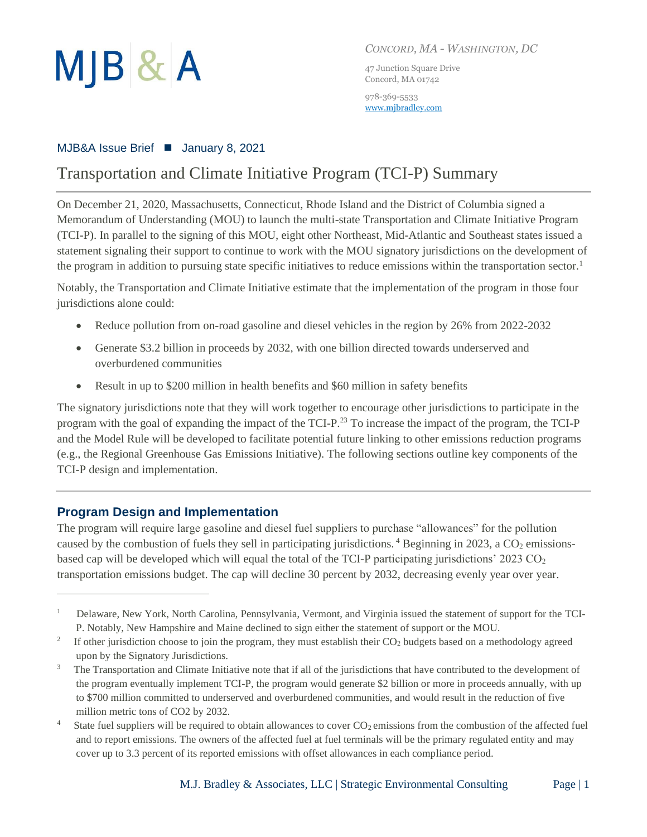

*CONCORD, MA - WASHINGTON, DC*

47 Junction Square Drive Concord, MA 01742

978-369-5533 [www.mjbradley.com](http://www.mjbradley.com/)

### MJB&A Issue Brief ■ January 8, 2021

# Transportation and Climate Initiative Program (TCI-P) Summary

On December 21, 2020, Massachusetts, Connecticut, Rhode Island and the District of Columbia signed a Memorandum of Understanding (MOU) to launch the multi-state Transportation and Climate Initiative Program (TCI-P). In parallel to the signing of this MOU, eight other Northeast, Mid-Atlantic and Southeast states issued a statement signaling their support to continue to work with the MOU signatory jurisdictions on the development of the program in addition to pursuing state specific initiatives to reduce emissions within the transportation sector.<sup>1</sup>

Notably, the Transportation and Climate Initiative estimate that the implementation of the program in those four jurisdictions alone could:

- Reduce pollution from on-road gasoline and diesel vehicles in the region by 26% from 2022-2032
- Generate \$3.2 billion in proceeds by 2032, with one billion directed towards underserved and overburdened communities
- Result in up to \$200 million in health benefits and \$60 million in safety benefits

The signatory jurisdictions note that they will work together to encourage other jurisdictions to participate in the program with the goal of expanding the impact of the TCI-P.<sup>23</sup> To increase the impact of the program, the TCI-P and the Model Rule will be developed to facilitate potential future linking to other emissions reduction programs (e.g., the Regional Greenhouse Gas Emissions Initiative). The following sections outline key components of the TCI-P design and implementation.

# **Program Design and Implementation**

The program will require large gasoline and diesel fuel suppliers to purchase "allowances" for the pollution caused by the combustion of fuels they sell in participating jurisdictions.  $4$  Beginning in 2023, a CO<sub>2</sub> emissionsbased cap will be developed which will equal the total of the TCI-P participating jurisdictions' 2023 CO<sup>2</sup> transportation emissions budget. The cap will decline 30 percent by 2032, decreasing evenly year over year.

<sup>1</sup> Delaware, New York, North Carolina, Pennsylvania, Vermont, and Virginia issued the statement of support for the TCI-P. Notably, New Hampshire and Maine declined to sign either the statement of support or the MOU.

<sup>2</sup> If other jurisdiction choose to join the program, they must establish their CO<sup>2</sup> budgets based on a methodology agreed upon by the Signatory Jurisdictions.

<sup>3</sup> The Transportation and Climate Initiative note that if all of the jurisdictions that have contributed to the development of the program eventually implement TCI-P, the program would generate \$2 billion or more in proceeds annually, with up to \$700 million committed to underserved and overburdened communities, and would result in the reduction of five million metric tons of CO2 by 2032.

<sup>4</sup> State fuel suppliers will be required to obtain allowances to cover  $CO<sub>2</sub>$  emissions from the combustion of the affected fuel and to report emissions. The owners of the affected fuel at fuel terminals will be the primary regulated entity and may cover up to 3.3 percent of its reported emissions with offset allowances in each compliance period.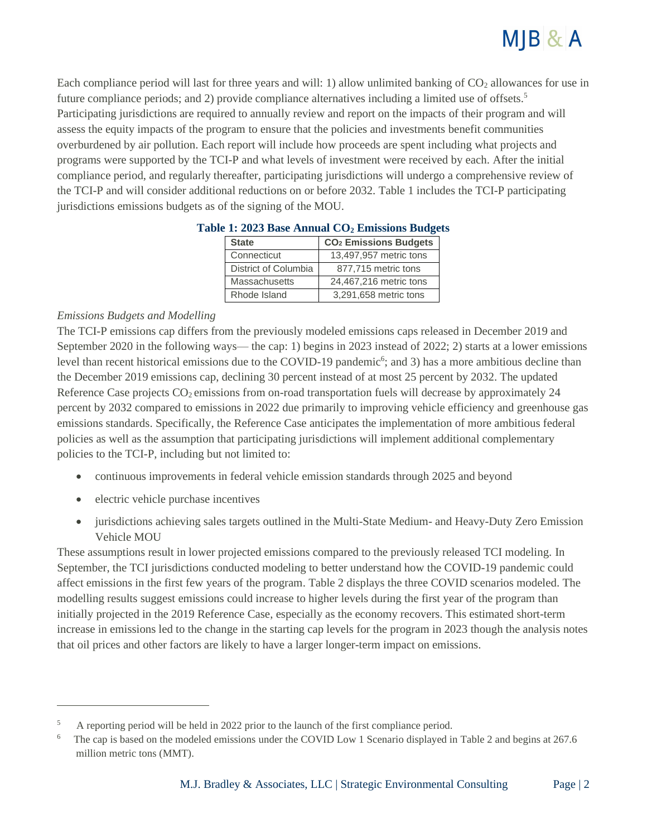

Each compliance period will last for three years and will: 1) allow unlimited banking of  $CO<sub>2</sub>$  allowances for use in future compliance periods; and 2) provide compliance alternatives including a limited use of offsets.<sup>5</sup> Participating jurisdictions are required to annually review and report on the impacts of their program and will assess the equity impacts of the program to ensure that the policies and investments benefit communities overburdened by air pollution. Each report will include how proceeds are spent including what projects and programs were supported by the TCI-P and what levels of investment were received by each. After the initial compliance period, and regularly thereafter, participating jurisdictions will undergo a comprehensive review of the TCI-P and will consider additional reductions on or before 2032. Table 1 includes the TCI-P participating jurisdictions emissions budgets as of the signing of the MOU.

| <b>State</b>         | CO <sub>2</sub> Emissions Budgets |
|----------------------|-----------------------------------|
| Connecticut          | 13,497,957 metric tons            |
| District of Columbia | 877,715 metric tons               |
| <b>Massachusetts</b> | 24,467,216 metric tons            |
| Rhode Island         | 3,291,658 metric tons             |

#### **Table 1: 2023 Base Annual CO<sup>2</sup> Emissions Budgets**

#### *Emissions Budgets and Modelling*

The TCI-P emissions cap differs from the previously modeled emissions caps released in December 2019 and September 2020 in the following ways— the cap: 1) begins in 2023 instead of 2022; 2) starts at a lower emissions level than recent historical emissions due to the COVID-19 pandemic<sup>6</sup>; and 3) has a more ambitious decline than the December 2019 emissions cap, declining 30 percent instead of at most 25 percent by 2032. The updated Reference Case projects  $CO<sub>2</sub>$  emissions from on-road transportation fuels will decrease by approximately 24 percent by 2032 compared to emissions in 2022 due primarily to improving vehicle efficiency and greenhouse gas emissions standards. Specifically, the Reference Case anticipates the implementation of more ambitious federal policies as well as the assumption that participating jurisdictions will implement additional complementary policies to the TCI-P, including but not limited to:

- continuous improvements in federal vehicle emission standards through 2025 and beyond
- electric vehicle purchase incentives
- jurisdictions achieving sales targets outlined in the Multi-State Medium- and Heavy-Duty Zero Emission Vehicle MOU

These assumptions result in lower projected emissions compared to the previously released TCI modeling. In September, the TCI jurisdictions conducted modeling to better understand how the COVID-19 pandemic could affect emissions in the first few years of the program. Table 2 displays the three COVID scenarios modeled. The modelling results suggest emissions could increase to higher levels during the first year of the program than initially projected in the 2019 Reference Case, especially as the economy recovers. This estimated short-term increase in emissions led to the change in the starting cap levels for the program in 2023 though the analysis notes that oil prices and other factors are likely to have a larger longer-term impact on emissions.

<sup>5</sup> A reporting period will be held in 2022 prior to the launch of the first compliance period.

<sup>6</sup> The cap is based on the modeled emissions under the COVID Low 1 Scenario displayed in Table 2 and begins at 267.6 million metric tons (MMT).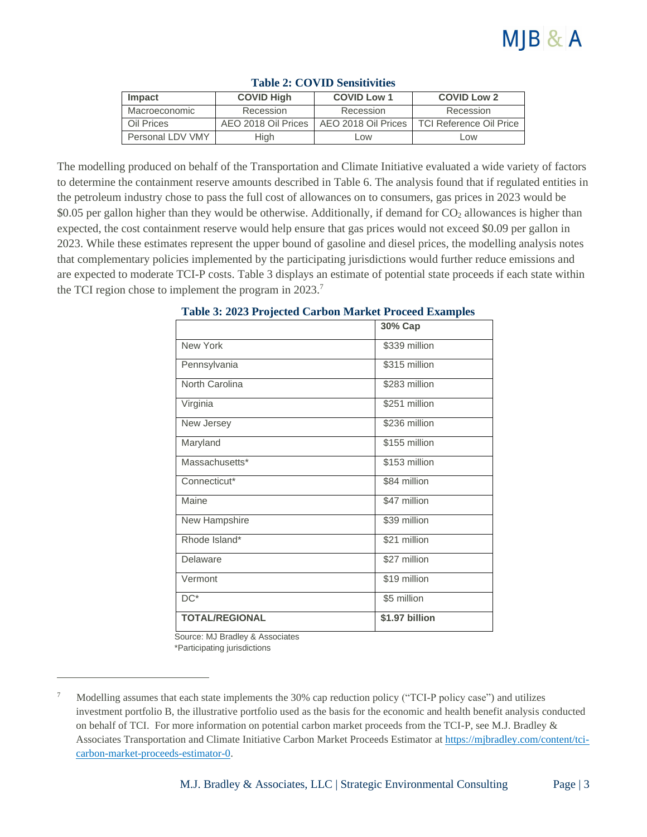| <b>Impact</b>                     | <b>COVID High</b> | <b>COVID Low 1</b>  | <b>COVID Low 2</b>             |  |  |
|-----------------------------------|-------------------|---------------------|--------------------------------|--|--|
| Macroeconomic                     | Recession         | Recession           | Recession                      |  |  |
| AEO 2018 Oil Prices<br>Oil Prices |                   | AEO 2018 Oil Prices | <b>TCI Reference Oil Price</b> |  |  |
| Personal LDV VMY                  | High              | Low                 | Low                            |  |  |

#### **Table 2: COVID Sensitivities**

The modelling produced on behalf of the Transportation and Climate Initiative evaluated a wide variety of factors to determine the containment reserve amounts described in Table 6. The analysis found that if regulated entities in the petroleum industry chose to pass the full cost of allowances on to consumers, gas prices in 2023 would be \$0.05 per gallon higher than they would be otherwise. Additionally, if demand for  $CO<sub>2</sub>$  allowances is higher than expected, the cost containment reserve would help ensure that gas prices would not exceed \$0.09 per gallon in 2023. While these estimates represent the upper bound of gasoline and diesel prices, the modelling analysis notes that complementary policies implemented by the participating jurisdictions would further reduce emissions and are expected to moderate TCI-P costs. Table 3 displays an estimate of potential state proceeds if each state within the TCI region chose to implement the program in 2023.<sup>7</sup>

|                       | 30% Cap        |  |  |  |  |
|-----------------------|----------------|--|--|--|--|
| New York              | \$339 million  |  |  |  |  |
| Pennsylvania          | \$315 million  |  |  |  |  |
| North Carolina        | \$283 million  |  |  |  |  |
| Virginia              | \$251 million  |  |  |  |  |
| New Jersey            | \$236 million  |  |  |  |  |
| Maryland              | $$155$ million |  |  |  |  |
| Massachusetts*        | \$153 million  |  |  |  |  |
| Connecticut*          | \$84 million   |  |  |  |  |
| Maine                 | \$47 million   |  |  |  |  |
| New Hampshire         | \$39 million   |  |  |  |  |
| Rhode Island*         | \$21 million   |  |  |  |  |
| Delaware              | \$27 million   |  |  |  |  |
| Vermont               | \$19 million   |  |  |  |  |
| $DC^*$                | \$5 million    |  |  |  |  |
| <b>TOTAL/REGIONAL</b> | \$1.97 billion |  |  |  |  |

#### **Table 3: 2023 Projected Carbon Market Proceed Examples**

Source: MJ Bradley & Associates

\*Participating jurisdictions

<sup>7</sup> Modelling assumes that each state implements the 30% cap reduction policy ("TCI-P policy case") and utilizes investment portfolio B, the illustrative portfolio used as the basis for the economic and health benefit analysis conducted on behalf of TCI. For more information on potential carbon market proceeds from the TCI-P, see M.J. Bradley & Associates Transportation and Climate Initiative Carbon Market Proceeds Estimator at [https://mjbradley.com/content/tci](https://mjbradley.com/content/tci-carbon-market-proceeds-estimator-0)[carbon-market-proceeds-estimator-0.](https://mjbradley.com/content/tci-carbon-market-proceeds-estimator-0)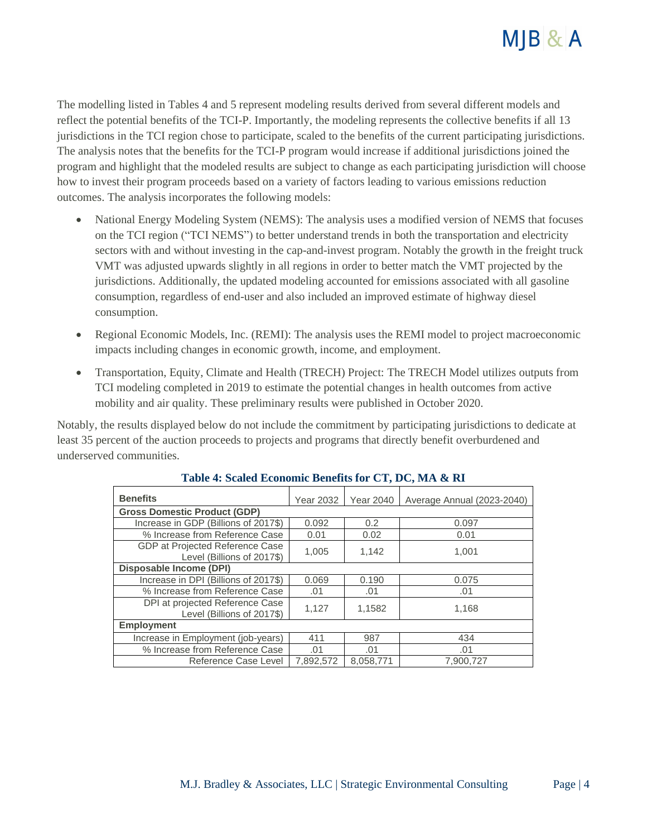

The modelling listed in Tables 4 and 5 represent modeling results derived from several different models and reflect the potential benefits of the TCI-P. Importantly, the modeling represents the collective benefits if all 13 jurisdictions in the TCI region chose to participate, scaled to the benefits of the current participating jurisdictions. The analysis notes that the benefits for the TCI-P program would increase if additional jurisdictions joined the program and highlight that the modeled results are subject to change as each participating jurisdiction will choose how to invest their program proceeds based on a variety of factors leading to various emissions reduction outcomes. The analysis incorporates the following models:

- National Energy Modeling System (NEMS): The analysis uses a modified version of NEMS that focuses on the TCI region ("TCI NEMS") to better understand trends in both the transportation and electricity sectors with and without investing in the cap-and-invest program. Notably the growth in the freight truck VMT was adjusted upwards slightly in all regions in order to better match the VMT projected by the jurisdictions. Additionally, the updated modeling accounted for emissions associated with all gasoline consumption, regardless of end-user and also included an improved estimate of highway diesel consumption.
- Regional Economic Models, Inc. (REMI): The analysis uses the REMI model to project macroeconomic impacts including changes in economic growth, income, and employment.
- Transportation, Equity, Climate and Health (TRECH) Project: The TRECH Model utilizes outputs from TCI modeling completed in 2019 to estimate the potential changes in health outcomes from active mobility and air quality. These preliminary results were published in October 2020.

Notably, the results displayed below do not include the commitment by participating jurisdictions to dedicate at least 35 percent of the auction proceeds to projects and programs that directly benefit overburdened and underserved communities.

| <b>Benefits</b>                                               | Year 2032 | <b>Year 2040</b> | Average Annual (2023-2040) |  |  |  |
|---------------------------------------------------------------|-----------|------------------|----------------------------|--|--|--|
| <b>Gross Domestic Product (GDP)</b>                           |           |                  |                            |  |  |  |
| Increase in GDP (Billions of 2017\$)                          | 0.092     | 0.2              | 0.097                      |  |  |  |
| % Increase from Reference Case                                | 0.01      | 0.02             | 0.01                       |  |  |  |
| GDP at Projected Reference Case<br>Level (Billions of 2017\$) | 1,005     | 1,142            | 1.001                      |  |  |  |
| Disposable Income (DPI)                                       |           |                  |                            |  |  |  |
| Increase in DPI (Billions of 2017\$)                          | 0.069     | 0.190            | 0.075                      |  |  |  |
| % Increase from Reference Case                                | .01       | .01              | .01                        |  |  |  |
| DPI at projected Reference Case<br>Level (Billions of 2017\$) | 1,127     | 1,1582           | 1,168                      |  |  |  |
| <b>Employment</b>                                             |           |                  |                            |  |  |  |
| Increase in Employment (job-years)                            | 411       | 987              | 434                        |  |  |  |
| % Increase from Reference Case                                | .01       | .01              | .01                        |  |  |  |
| Reference Case Level                                          | 7,892,572 | 8.058.771        | 7.900.727                  |  |  |  |

#### **Table 4: Scaled Economic Benefits for CT, DC, MA & RI**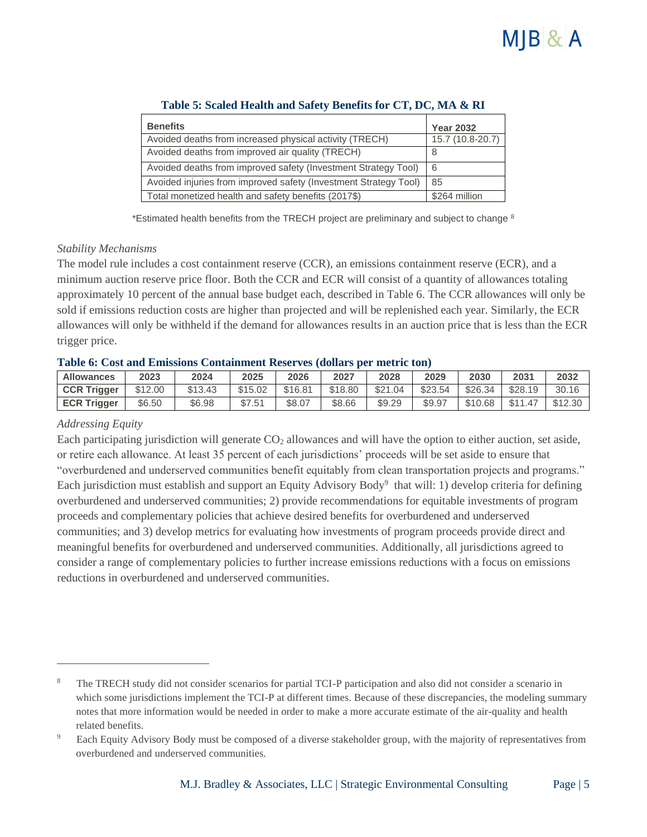

| <b>Benefits</b>                                                  | <b>Year 2032</b> |  |  |
|------------------------------------------------------------------|------------------|--|--|
| Avoided deaths from increased physical activity (TRECH)          | 15.7 (10.8-20.7) |  |  |
| Avoided deaths from improved air quality (TRECH)                 | 8                |  |  |
| Avoided deaths from improved safety (Investment Strategy Tool)   | l 6              |  |  |
| Avoided injuries from improved safety (Investment Strategy Tool) | <u>85</u>        |  |  |
| Total monetized health and safety benefits (2017\$)              | \$264 million    |  |  |

#### **Table 5: Scaled Health and Safety Benefits for CT, DC, MA & RI**

\*Estimated health benefits from the TRECH project are preliminary and subject to change 8

#### *Stability Mechanisms*

The model rule includes a cost containment reserve (CCR), an emissions containment reserve (ECR), and a minimum auction reserve price floor. Both the CCR and ECR will consist of a quantity of allowances totaling approximately 10 percent of the annual base budget each, described in Table 6. The CCR allowances will only be sold if emissions reduction costs are higher than projected and will be replenished each year. Similarly, the ECR allowances will only be withheld if the demand for allowances results in an auction price that is less than the ECR trigger price.

#### **Table 6: Cost and Emissions Containment Reserves (dollars per metric ton)**

| <b>Allowances</b>  | 2023    | 2024    | 2025    | 2026    | 2027    | 2028    | 2029    | 2030    | 2031    | 2032    |
|--------------------|---------|---------|---------|---------|---------|---------|---------|---------|---------|---------|
| <b>CCR Trigger</b> | \$12.00 | \$13.43 | \$15.02 | \$16.81 | \$18.80 | \$21.04 | \$23.54 | \$26.34 | \$28.19 | 30.16   |
| <b>ECR Trigger</b> | \$6.50  | \$6.98  | \$7.51  | \$8.07  | \$8.66  | \$9.29  | \$9.97  | \$10.68 | \$11.47 | \$12.30 |

#### *Addressing Equity*

Each participating jurisdiction will generate  $CO<sub>2</sub>$  allowances and will have the option to either auction, set aside, or retire each allowance. At least 35 percent of each jurisdictions' proceeds will be set aside to ensure that "overburdened and underserved communities benefit equitably from clean transportation projects and programs." Each jurisdiction must establish and support an Equity Advisory Body<sup>9</sup> that will: 1) develop criteria for defining overburdened and underserved communities; 2) provide recommendations for equitable investments of program proceeds and complementary policies that achieve desired benefits for overburdened and underserved communities; and 3) develop metrics for evaluating how investments of program proceeds provide direct and meaningful benefits for overburdened and underserved communities. Additionally, all jurisdictions agreed to consider a range of complementary policies to further increase emissions reductions with a focus on emissions reductions in overburdened and underserved communities.

<sup>8</sup> The TRECH study did not consider scenarios for partial TCI-P participation and also did not consider a scenario in which some jurisdictions implement the TCI-P at different times. Because of these discrepancies, the modeling summary notes that more information would be needed in order to make a more accurate estimate of the air-quality and health related benefits.

<sup>9</sup> Each Equity Advisory Body must be composed of a diverse stakeholder group, with the majority of representatives from overburdened and underserved communities.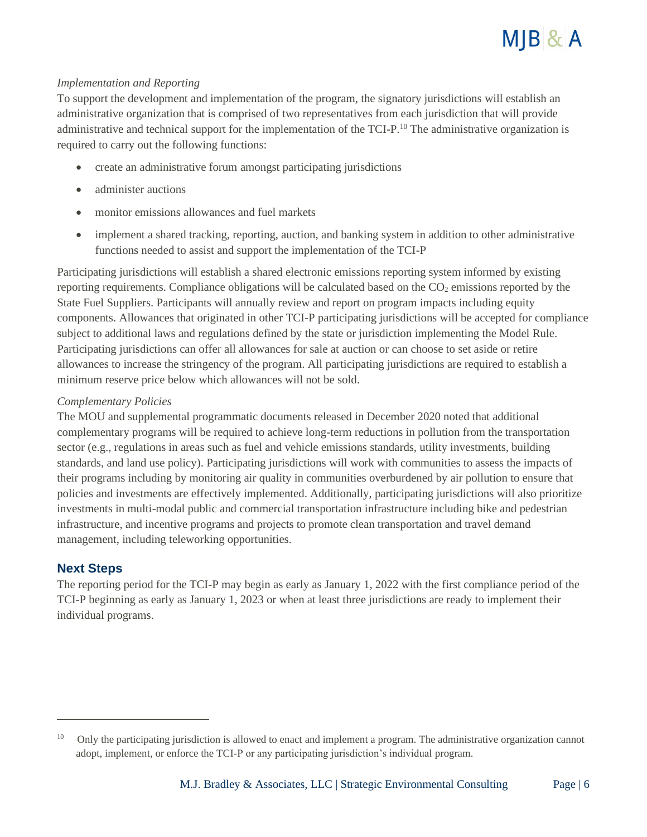

#### *Implementation and Reporting*

To support the development and implementation of the program, the signatory jurisdictions will establish an administrative organization that is comprised of two representatives from each jurisdiction that will provide administrative and technical support for the implementation of the TCI-P.<sup>10</sup> The administrative organization is required to carry out the following functions:

- create an administrative forum amongst participating jurisdictions
- administer auctions
- monitor emissions allowances and fuel markets
- implement a shared tracking, reporting, auction, and banking system in addition to other administrative functions needed to assist and support the implementation of the TCI-P

Participating jurisdictions will establish a shared electronic emissions reporting system informed by existing reporting requirements. Compliance obligations will be calculated based on the  $CO<sub>2</sub>$  emissions reported by the State Fuel Suppliers. Participants will annually review and report on program impacts including equity components. Allowances that originated in other TCI-P participating jurisdictions will be accepted for compliance subject to additional laws and regulations defined by the state or jurisdiction implementing the Model Rule. Participating jurisdictions can offer all allowances for sale at auction or can choose to set aside or retire allowances to increase the stringency of the program. All participating jurisdictions are required to establish a minimum reserve price below which allowances will not be sold.

#### *Complementary Policies*

The MOU and supplemental programmatic documents released in December 2020 noted that additional complementary programs will be required to achieve long-term reductions in pollution from the transportation sector (e.g., regulations in areas such as fuel and vehicle emissions standards, utility investments, building standards, and land use policy). Participating jurisdictions will work with communities to assess the impacts of their programs including by monitoring air quality in communities overburdened by air pollution to ensure that policies and investments are effectively implemented. Additionally, participating jurisdictions will also prioritize investments in multi-modal public and commercial transportation infrastructure including bike and pedestrian infrastructure, and incentive programs and projects to promote clean transportation and travel demand management, including teleworking opportunities.

#### **Next Steps**

The reporting period for the TCI-P may begin as early as January 1, 2022 with the first compliance period of the TCI-P beginning as early as January 1, 2023 or when at least three jurisdictions are ready to implement their individual programs.

<sup>10</sup> Only the participating jurisdiction is allowed to enact and implement a program. The administrative organization cannot adopt, implement, or enforce the TCI-P or any participating jurisdiction's individual program.